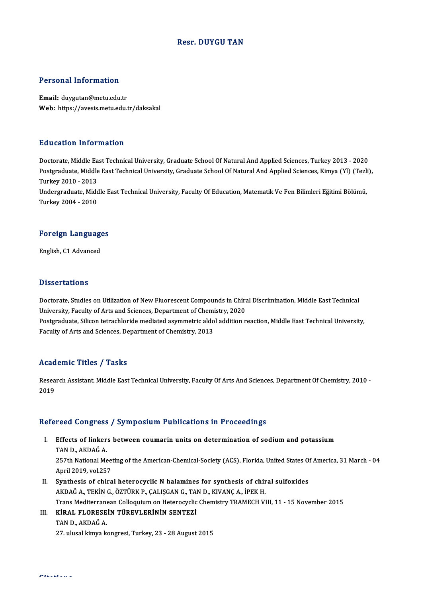## Resr. DUYGU TAN

## Personal Information

Email: duygutan@metu.edu.tr Web: https://avesis.metu.edu.tr/daksakal

### Education Information

Education Information<br>Doctorate, Middle East Technical University, Graduate School Of Natural And Applied Sciences, Turkey 2013 - 2020<br>Postsraduate Middle East Technical University, Graduate School Of Natural And Applied S Postgraduate, Middle East Technical University, Graduate School Of Natural And Applied Sciences, Kimya (Yl) (Tezli),<br>Turkey 2010 - 2013 Doctorate, Middle Ea<br>Postgraduate, Middle<br>Turkey 2010 - 2013<br>Undergraduate Mide Postgraduate, Middle East Technical University, Graduate School Of Natural And Applied Sciences, Kimya (Yl) (Tezli<br>Turkey 2010 - 2013<br>Undergraduate, Middle East Technical University, Faculty Of Education, Matematik Ve Fen Turkey 2010 - 2013<br>Undergraduate, Midc<br>Turkey 2004 - 2010

## Turkey 2004 - 2010<br>Foreign Languages F<mark>oreign Languag</mark>e<br>English, C1 Advanced

English, C1 Advanced<br>Dissertations

Doctorate, Studies on Utilization of New Fluorescent Compounds in Chiral Discrimination, Middle East Technical University, Faculty of Arts and Sciences, Department of Chemistry, 2020 Doctorate, Studies on Utilization of New Fluorescent Compounds in Chiral Discrimination, Middle East Technical<br>University, Faculty of Arts and Sciences, Department of Chemistry, 2020<br>Postgraduate, Silicon tetrachloride med University, Faculty of Arts and Sciences, Department of Chemi<br>Postgraduate, Silicon tetrachloride mediated asymmetric aldo<br>Faculty of Arts and Sciences, Department of Chemistry, 2013 Faculty of Arts and Sciences, Department of Chemistry, 2013<br>Academic Titles / Tasks

A**cademic Titles / Tasks**<br>Research Assistant, Middle East Technical University, Faculty Of Arts And Sciences, Department Of Chemistry, 2010 -<br>2019 neud<br>Resea<br>2019

# 2019<br>Refereed Congress / Symposium Publications in Proceedings

- efereed Congress / Symposium Publications in Proceedings<br>I. Effects of linkers between coumarin units on determination of sodium and potassium<br>TAND AKDAČA TOOR OOMBEDDE<br>Effects of linker<br>TAN D., AKDAĞ A. Effects of linkers between coumarin units on determination of sodium and potassium<br>TAN D., AKDAĞ A.<br>257th National Meeting of the American-Chemical-Society (ACS), Florida, United States Of America, 31 March - 04<br>April 2019 TAN D., AKDAĞ A.<br>257th National Mee<br>April 2019, vol.257<br>Synthesis of shine
- 257th National Meeting of the American-Chemical-Society (ACS), Florida, United States Of<br>April 2019, vol.257<br>II. Synthesis of chiral heterocyclic N halamines for synthesis of chiral sulfoxides<br>AFDAČA, TEVIN G ÖZTÜRV R GALI April 2019, vol.257<br>Synthesis of chiral heterocyclic N halamines for synthesis of chir<br>AKDAĞ A., TEKİN G., ÖZTÜRK P., ÇALIŞGAN G., TAN D., KIVANÇ A., İPEK H.<br>Trans Mediterranean Colloquium en Heterogyeliş Chemistry TRAMECH Synthesis of chiral heterocyclic N halamines for synthesis of chiral sulfoxides<br>AKDAĞ A., TEKİN G., ÖZTÜRK P., ÇALIŞGAN G., TAN D., KIVANÇ A., İPEK H.<br>Trans Mediterranean Colloquium on Heterocyclic Chemistry TRAMECH VIII, AKDAĞ A., TEKİN G., ÖZTÜRK P., ÇALIŞGAN G., TAI<br>Trans Mediterranean Colloquium on Heterocyclic<br>III. KİRAL FLORESEİN TÜREVLERİNİN SENTEZİ<br>TANDAKDAĞA
- Trans Mediterrand.<br>KİRAL FLORESE<br>TAN D., AKDAĞ A. 111. KİRAL FLORESEİN TÜREVLERİNİN SENTEZİ<br>27. ulusal kimya kongresi, Turkey, 23 - 28 August 2015